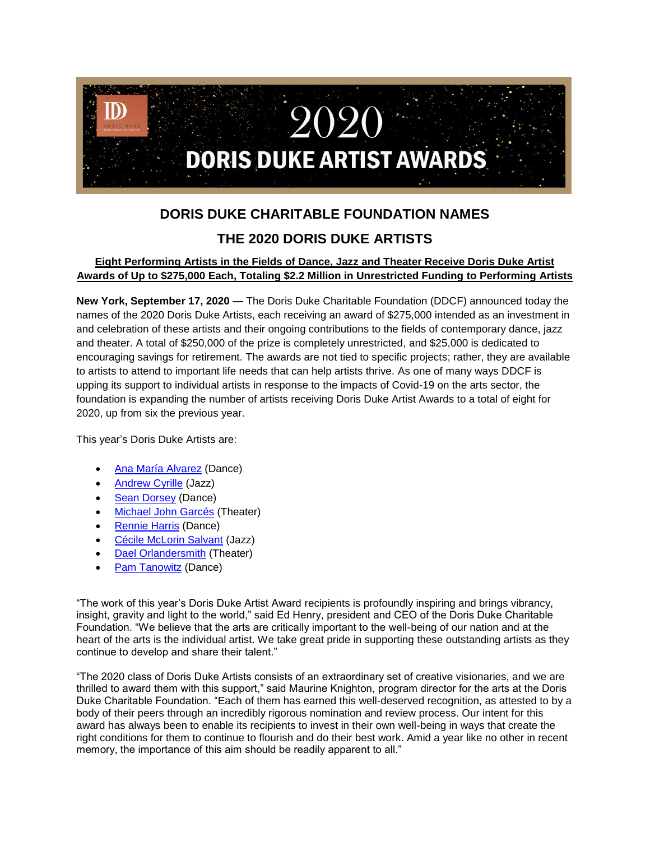

# **DORIS DUKE CHARITABLE FOUNDATION NAMES**

## **THE 2020 DORIS DUKE ARTISTS**

### **Eight Performing Artists in the Fields of Dance, Jazz and Theater Receive Doris Duke Artist Awards of Up to \$275,000 Each, Totaling \$2.2 Million in Unrestricted Funding to Performing Artists**

**New York, September 17, 2020 —** The Doris Duke Charitable Foundation (DDCF) announced today the names of the 2020 Doris Duke Artists, each receiving an award of \$275,000 intended as an investment in and celebration of these artists and their ongoing contributions to the fields of contemporary dance, jazz and theater. A total of \$250,000 of the prize is completely unrestricted, and \$25,000 is dedicated to encouraging savings for retirement. The awards are not tied to specific projects; rather, they are available to artists to attend to important life needs that can help artists thrive. As one of many ways DDCF is upping its support to individual artists in response to the impacts of Covid-19 on the arts sector, the foundation is expanding the number of artists receiving Doris Duke Artist Awards to a total of eight for 2020, up from six the previous year.

This year's Doris Duke Artists are:

- [Ana María](https://www.ddcf.org/what-we-fund/performing-arts/goal-and-strategies/support-for-artists/unrestricted-support-for-artists/doris-duke-artist-awards/ana-maria-alvarez/) Alvarez (Dance)
- [Andrew Cyrille](https://www.ddcf.org/what-we-fund/performing-arts/goal-and-strategies/support-for-artists/unrestricted-support-for-artists/doris-duke-artist-awards/andrew-cyrille/) (Jazz)
- [Sean Dorsey](https://www.ddcf.org/what-we-fund/performing-arts/goal-and-strategies/support-for-artists/unrestricted-support-for-artists/doris-duke-artist-awards/sean-dorsey/) (Dance)
- [Michael John Garcés](https://www.ddcf.org/what-we-fund/performing-arts/goal-and-strategies/support-for-artists/unrestricted-support-for-artists/doris-duke-artist-awards/michael-john-garces/) (Theater)
- [Rennie Harris](https://www.ddcf.org/what-we-fund/performing-arts/goal-and-strategies/support-for-artists/unrestricted-support-for-artists/doris-duke-artist-awards/rennie-harris/) (Dance)
- [Cécile McLorin Salvant](https://www.ddcf.org/what-we-fund/performing-arts/goal-and-strategies/support-for-artists/unrestricted-support-for-artists/doris-duke-artist-awards/cecile-mclorin-salvant/) (Jazz)
- [Dael Orlandersmith](https://www.ddcf.org/what-we-fund/performing-arts/goal-and-strategies/support-for-artists/unrestricted-support-for-artists/doris-duke-artist-awards/dael-orlandersmith/) (Theater)
- [Pam Tanowitz](https://www.ddcf.org/what-we-fund/performing-arts/goal-and-strategies/support-for-artists/unrestricted-support-for-artists/doris-duke-artist-awards/pam-tanowitz/) (Dance)

"The work of this year's Doris Duke Artist Award recipients is profoundly inspiring and brings vibrancy, insight, gravity and light to the world," said Ed Henry, president and CEO of the Doris Duke Charitable Foundation. "We believe that the arts are critically important to the well-being of our nation and at the heart of the arts is the individual artist. We take great pride in supporting these outstanding artists as they continue to develop and share their talent."

"The 2020 class of Doris Duke Artists consists of an extraordinary set of creative visionaries, and we are thrilled to award them with this support," said Maurine Knighton, program director for the arts at the Doris Duke Charitable Foundation. "Each of them has earned this well-deserved recognition, as attested to by a body of their peers through an incredibly rigorous nomination and review process. Our intent for this award has always been to enable its recipients to invest in their own well-being in ways that create the right conditions for them to continue to flourish and do their best work. Amid a year like no other in recent memory, the importance of this aim should be readily apparent to all."